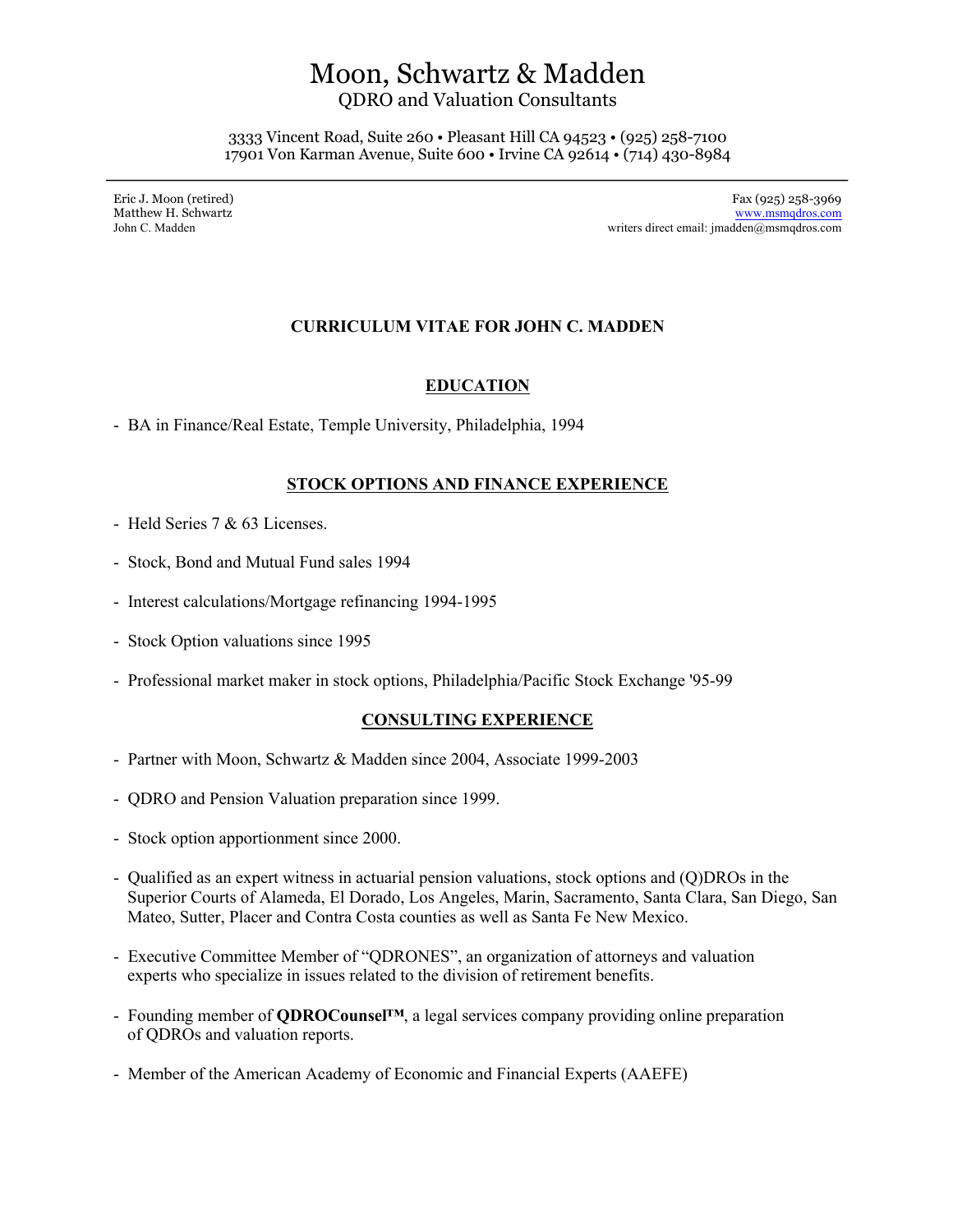# Moon, Schwartz & Madden

QDRO and Valuation Consultants

3333 Vincent Road, Suite 260 • Pleasant Hill CA 94523 • (925) 258-7100 17901 Von Karman Avenue, Suite 600 • Irvine CA 92614 • (714) 430-8984

Eric J. Moon (retired) Fax (925) 258-3969 Matthew H. Schwartz www.msmqdros.com John C. Madden writers direct email: jmadden@msmqdros.com

# **CURRICULUM VITAE FOR JOHN C. MADDEN**

# **EDUCATION**

- BA in Finance/Real Estate, Temple University, Philadelphia, 1994

## **STOCK OPTIONS AND FINANCE EXPERIENCE**

- Held Series 7 & 63 Licenses.
- Stock, Bond and Mutual Fund sales 1994
- Interest calculations/Mortgage refinancing 1994-1995
- Stock Option valuations since 1995
- Professional market maker in stock options, Philadelphia/Pacific Stock Exchange '95-99

#### **CONSULTING EXPERIENCE**

- Partner with Moon, Schwartz & Madden since 2004, Associate 1999-2003
- QDRO and Pension Valuation preparation since 1999.
- Stock option apportionment since 2000.
- Qualified as an expert witness in actuarial pension valuations, stock options and (Q)DROs in the Superior Courts of Alameda, El Dorado, Los Angeles, Marin, Sacramento, Santa Clara, San Diego, San Mateo, Sutter, Placer and Contra Costa counties as well as Santa Fe New Mexico.
- Executive Committee Member of "QDRONES", an organization of attorneys and valuation experts who specialize in issues related to the division of retirement benefits.
- Founding member of **QDROCounsel™**, a legal services company providing online preparation of QDROs and valuation reports.
- Member of the American Academy of Economic and Financial Experts (AAEFE)